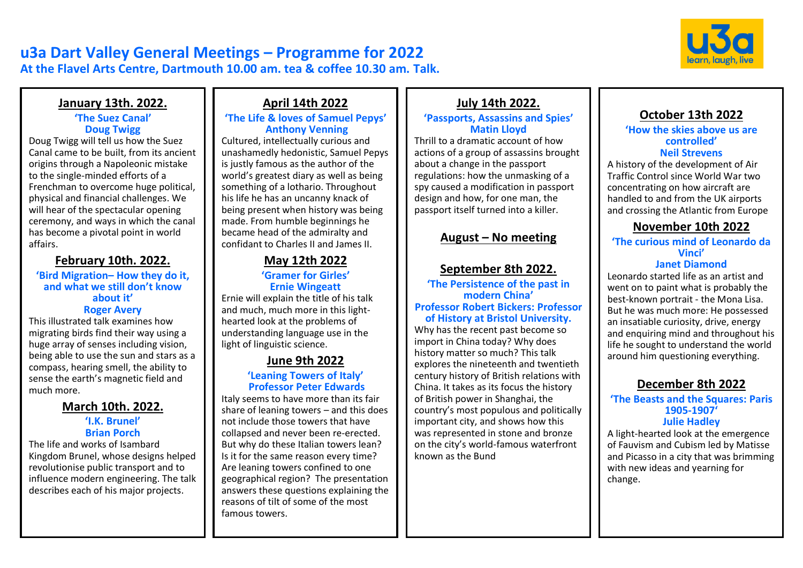

# **u3a Dart Valley General Meetings – Programme for 2022 At the Flavel Arts Centre, Dartmouth 10.00 am. tea & coffee 10.30 am. Talk.**

### **January 13th. 2022.**

### **'The Suez Canal' Doug Twigg**

Doug Twigg will tell us how the Suez Canal came to be built, from its ancient origins through a Napoleonic mistake to the single-minded efforts of a Frenchman to overcome huge political, physical and financial challenges. We will hear of the spectacular opening ceremony, and ways in which the canal has become a pivotal point in world affairs.

## **February 10th. 2022.**

#### **'Bird Migration– How they do it, and what we still don't know about it' Roger Avery**

This illustrated talk examines how migrating birds find their way using a huge array of senses including vision, being able to use the sun and stars as a compass, hearing smell, the ability to sense the earth's magnetic field and much more.

## **March 10th. 2022.**

#### **'I.K. Brunel' Brian Porch**

The life and works of Isambard Kingdom Brunel, whose designs helped revolutionise public transport and to influence modern engineering. The talk describes each of his major projects.

# **April 14th 2022**

### **'The Life & loves of Samuel Pepys' Anthony Venning**

Cultured, intellectually curious and unashamedly hedonistic, Samuel Pepys is justly famous as the author of the world's greatest diary as well as being something of a lothario. Throughout his life he has an uncanny knack of being present when history was being made. From humble beginnings he became head of the admiralty and confidant to Charles II and James II.

# **May 12th 2022**

### **'Gramer for Girles' Ernie Wingeatt**

Ernie will explain the title of his talk and much, much more in this lighthearted look at the problems of understanding language use in the light of linguistic science.

# **June 9th 2022**

## **'Leaning Towers of Italy' Professor Peter Edwards**

Italy seems to have more than its fair share of leaning towers – and this does not include those towers that have collapsed and never been re-erected. But why do these Italian towers lean? Is it for the same reason every time? Are leaning towers confined to one geographical region? The presentation answers these questions explaining the reasons of tilt of some of the most famous towers.

## **July 14th 2022.**

### **'Passports, Assassins and Spies' Matin Lloyd**

Thrill to a dramatic account of how actions of a group of assassins brought about a change in the passport regulations: how the unmasking of a spy caused a modification in passport design and how, for one man, the passport itself turned into a killer.

# **August – No meeting**

## **September 8th 2022.**

**'The Persistence of the past in modern China' Professor Robert Bickers: Professor of History at Bristol University.**

Why has the recent past become so import in China today? Why does history matter so much? This talk explores the nineteenth and twentieth century history of British relations with China. It takes as its focus the history of British power in Shanghai, the country's most populous and politically important city, and shows how this was represented in stone and bronze on the city's world-famous waterfront known as the Bund

## **October 13th 2022**

#### **'How the skies above us are controlled' Neil Strevens**

A history of the development of Air Traffic Control since World War two concentrating on how aircraft are handled to and from the UK airports and crossing the Atlantic from Europe

# **November 10th 2022**

### **'The curious mind of Leonardo da Vinci'**

### **Janet Diamond**

Leonardo started life as an artist and went on to paint what is probably the best-known portrait - the Mona Lisa. But he was much more: He possessed an insatiable curiosity, drive, energy and enquiring mind and throughout his life he sought to understand the world around him questioning everything.

## **December 8th 2022**

#### **'The Beasts and the Squares: Paris 1905-1907' Julie Hadley**

A light-hearted look at the emergence of Fauvism and Cubism led by Matisse and Picasso in a city that was brimming with new ideas and yearning for change.